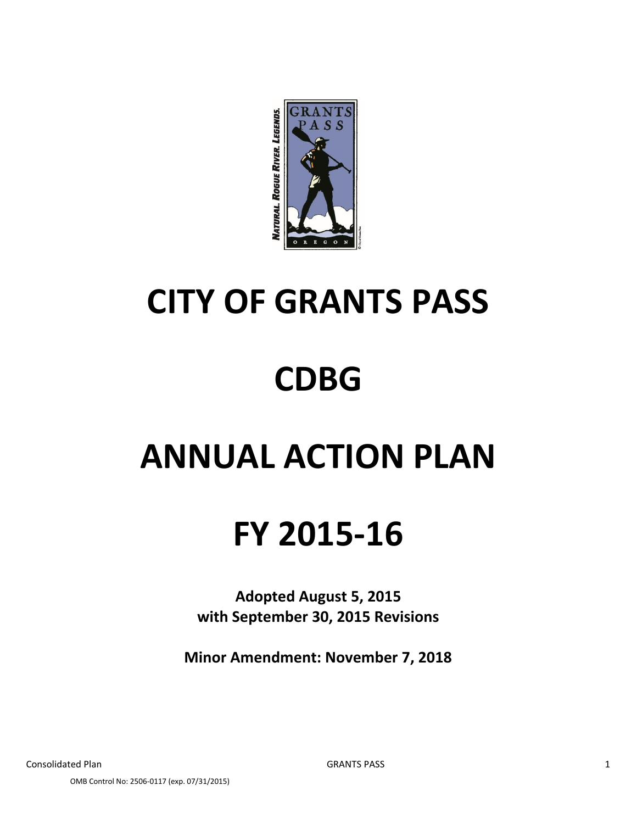

# **CITY OF GRANTS PASS**

## **CDBG**

## **ANNUAL ACTION PLAN**

## **FY 2015-16**

**Adopted August 5, 2015 with September 30, 2015 Revisions**

**Minor Amendment: November 7, 2018**

OMB Control No: 2506-0117 (exp. 07/31/2015)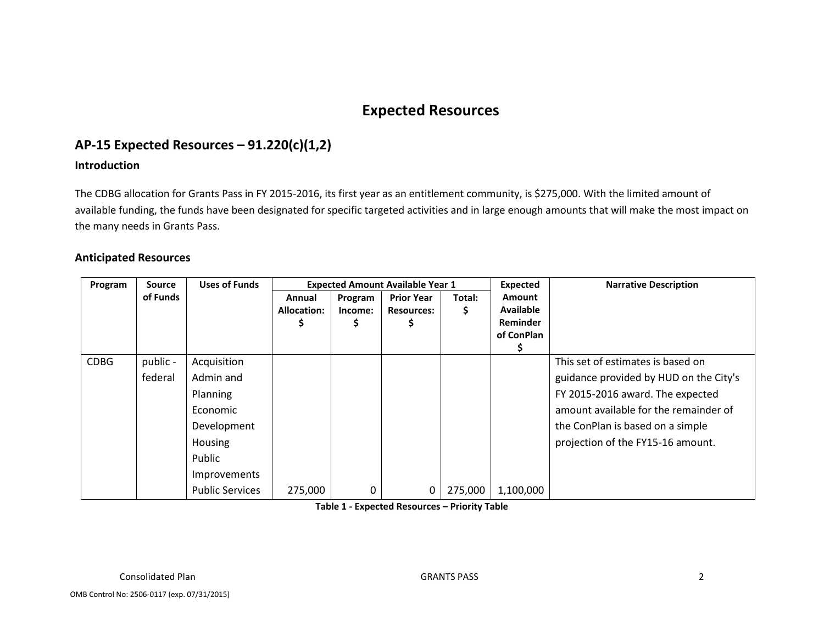## **Expected Resources**

## **AP-15 Expected Resources – 91.220(c)(1,2)**

#### **Introduction**

The CDBG allocation for Grants Pass in FY 2015-2016, its first year as an entitlement community, is \$275,000. With the limited amount of available funding, the funds have been designated for specific targeted activities and in large enough amounts that will make the most impact on the many needs in Grants Pass.

#### **Anticipated Resources**

| Program     | <b>Source</b> | <b>Uses of Funds</b>   | <b>Expected Amount Available Year 1</b> |         |                   |         | <b>Expected</b>  | <b>Narrative Description</b>           |
|-------------|---------------|------------------------|-----------------------------------------|---------|-------------------|---------|------------------|----------------------------------------|
|             | of Funds      |                        | Annual                                  | Program | <b>Prior Year</b> | Total:  | <b>Amount</b>    |                                        |
|             |               |                        | Allocation:                             | Income: | <b>Resources:</b> | S.      | <b>Available</b> |                                        |
|             |               |                        |                                         |         |                   |         | Reminder         |                                        |
|             |               |                        |                                         |         |                   |         | of ConPlan       |                                        |
|             |               |                        |                                         |         |                   |         |                  |                                        |
| <b>CDBG</b> | public -      | Acquisition            |                                         |         |                   |         |                  | This set of estimates is based on      |
|             | federal       | Admin and              |                                         |         |                   |         |                  | guidance provided by HUD on the City's |
|             |               | <b>Planning</b>        |                                         |         |                   |         |                  | FY 2015-2016 award. The expected       |
|             |               | Economic               |                                         |         |                   |         |                  | amount available for the remainder of  |
|             |               | Development            |                                         |         |                   |         |                  | the ConPlan is based on a simple       |
|             |               | Housing                |                                         |         |                   |         |                  | projection of the FY15-16 amount.      |
|             |               | Public                 |                                         |         |                   |         |                  |                                        |
|             |               | Improvements           |                                         |         |                   |         |                  |                                        |
|             |               | <b>Public Services</b> | 275,000                                 | 0       | 0                 | 275,000 | 1,100,000        |                                        |

**Table 1 - Expected Resources – Priority Table**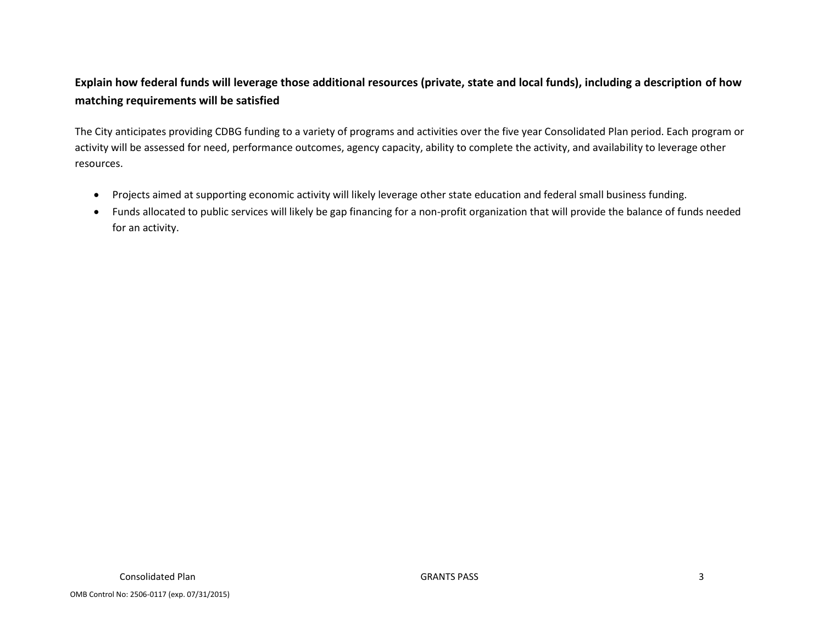### **Explain how federal funds will leverage those additional resources (private, state and local funds), including a description of how matching requirements will be satisfied**

The City anticipates providing CDBG funding to a variety of programs and activities over the five year Consolidated Plan period. Each program or activity will be assessed for need, performance outcomes, agency capacity, ability to complete the activity, and availability to leverage other resources.

- Projects aimed at supporting economic activity will likely leverage other state education and federal small business funding.
- Funds allocated to public services will likely be gap financing for a non-profit organization that will provide the balance of funds needed for an activity.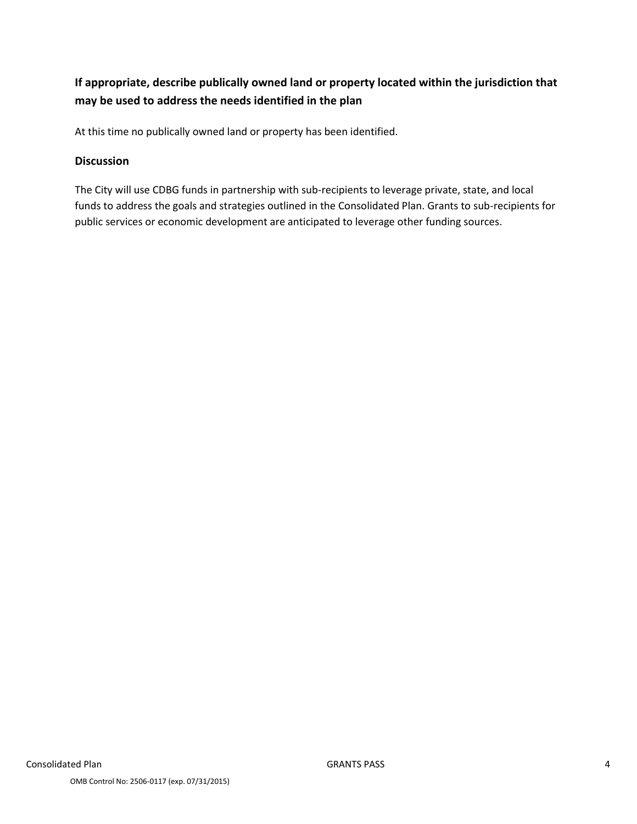### **If appropriate, describe publically owned land or property located within the jurisdiction that may be used to address the needs identified in the plan**

At this time no publically owned land or property has been identified.

#### **Discussion**

The City will use CDBG funds in partnership with sub-recipients to leverage private, state, and local funds to address the goals and strategies outlined in the Consolidated Plan. Grants to sub-recipients for public services or economic development are anticipated to leverage other funding sources.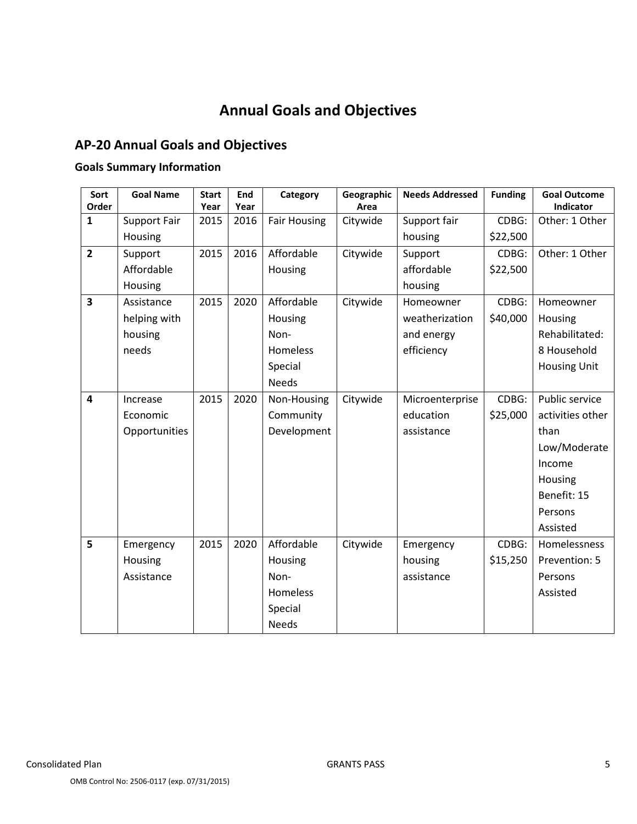## **Annual Goals and Objectives**

## **AP-20 Annual Goals and Objectives**

## **Goals Summary Information**

| Sort<br>Order  | <b>Goal Name</b>    | <b>Start</b><br>Year | End<br>Year | Category            | Geographic<br>Area | <b>Needs Addressed</b> | <b>Funding</b> | <b>Goal Outcome</b><br><b>Indicator</b> |
|----------------|---------------------|----------------------|-------------|---------------------|--------------------|------------------------|----------------|-----------------------------------------|
| $\mathbf{1}$   | <b>Support Fair</b> | 2015                 | 2016        | <b>Fair Housing</b> | Citywide           | Support fair           | CDBG:          | Other: 1 Other                          |
|                | Housing             |                      |             |                     |                    | housing                | \$22,500       |                                         |
| $\overline{2}$ | Support             | 2015                 | 2016        | Affordable          | Citywide           | Support                | CDBG:          | Other: 1 Other                          |
|                | Affordable          |                      |             | Housing             |                    | affordable             | \$22,500       |                                         |
|                | Housing             |                      |             |                     |                    | housing                |                |                                         |
| 3              | Assistance          | 2015                 | 2020        | Affordable          | Citywide           | Homeowner              | CDBG:          | Homeowner                               |
|                | helping with        |                      |             | Housing             |                    | weatherization         | \$40,000       | Housing                                 |
|                | housing             |                      |             | Non-                |                    | and energy             |                | Rehabilitated:                          |
|                | needs               |                      |             | <b>Homeless</b>     |                    | efficiency             |                | 8 Household                             |
|                |                     |                      |             | Special             |                    |                        |                | <b>Housing Unit</b>                     |
|                |                     |                      |             | <b>Needs</b>        |                    |                        |                |                                         |
| 4              | Increase            | 2015                 | 2020        | Non-Housing         | Citywide           | Microenterprise        | CDBG:          | Public service                          |
|                | Economic            |                      |             | Community           |                    | education              | \$25,000       | activities other                        |
|                | Opportunities       |                      |             | Development         |                    | assistance             |                | than                                    |
|                |                     |                      |             |                     |                    |                        |                | Low/Moderate                            |
|                |                     |                      |             |                     |                    |                        |                | Income                                  |
|                |                     |                      |             |                     |                    |                        |                | Housing                                 |
|                |                     |                      |             |                     |                    |                        |                | Benefit: 15                             |
|                |                     |                      |             |                     |                    |                        |                | Persons                                 |
|                |                     |                      |             |                     |                    |                        |                | Assisted                                |
| 5              | Emergency           | 2015                 | 2020        | Affordable          | Citywide           | Emergency              | CDBG:          | Homelessness                            |
|                | Housing             |                      |             | Housing             |                    | housing                | \$15,250       | Prevention: 5                           |
|                | Assistance          |                      |             | Non-                |                    | assistance             |                | Persons                                 |
|                |                     |                      |             | <b>Homeless</b>     |                    |                        |                | Assisted                                |
|                |                     |                      |             | Special             |                    |                        |                |                                         |
|                |                     |                      |             | <b>Needs</b>        |                    |                        |                |                                         |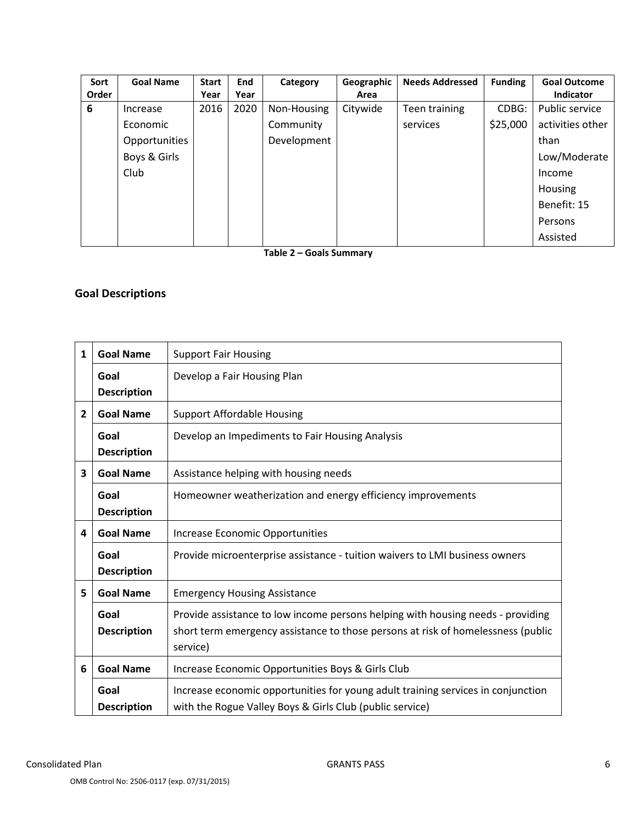| Sort  | <b>Goal Name</b> | <b>Start</b> | <b>End</b> | Category    | Geographic | <b>Needs Addressed</b> | <b>Funding</b> | <b>Goal Outcome</b> |
|-------|------------------|--------------|------------|-------------|------------|------------------------|----------------|---------------------|
| Order |                  | Year         | Year       |             | Area       |                        |                | <b>Indicator</b>    |
| 6     | Increase         | 2016         | 2020       | Non-Housing | Citywide   | Teen training          | CDBG:          | Public service      |
|       | Economic         |              |            | Community   |            | services               | \$25,000       | activities other    |
|       | Opportunities    |              |            | Development |            |                        |                | than                |
|       | Boys & Girls     |              |            |             |            |                        |                | Low/Moderate        |
|       | Club             |              |            |             |            |                        |                | Income              |
|       |                  |              |            |             |            |                        |                | Housing             |
|       |                  |              |            |             |            |                        |                | Benefit: 15         |
|       |                  |              |            |             |            |                        |                | Persons             |
|       |                  |              |            |             |            |                        |                | Assisted            |

**Table 2 – Goals Summary**

### **Goal Descriptions**

| $\mathbf{1}$   | <b>Goal Name</b>   | <b>Support Fair Housing</b>                                                      |
|----------------|--------------------|----------------------------------------------------------------------------------|
|                |                    |                                                                                  |
|                | Goal               | Develop a Fair Housing Plan                                                      |
|                | <b>Description</b> |                                                                                  |
| $\overline{2}$ | <b>Goal Name</b>   | <b>Support Affordable Housing</b>                                                |
|                | Goal               | Develop an Impediments to Fair Housing Analysis                                  |
|                | <b>Description</b> |                                                                                  |
| 3              | <b>Goal Name</b>   | Assistance helping with housing needs                                            |
|                | Goal               | Homeowner weatherization and energy efficiency improvements                      |
|                | <b>Description</b> |                                                                                  |
| 4              | <b>Goal Name</b>   | Increase Economic Opportunities                                                  |
|                | Goal               | Provide microenterprise assistance - tuition waivers to LMI business owners      |
|                | <b>Description</b> |                                                                                  |
| 5              | <b>Goal Name</b>   | <b>Emergency Housing Assistance</b>                                              |
|                | Goal               | Provide assistance to low income persons helping with housing needs - providing  |
|                | <b>Description</b> | short term emergency assistance to those persons at risk of homelessness (public |
|                |                    | service)                                                                         |
| 6              | <b>Goal Name</b>   | Increase Economic Opportunities Boys & Girls Club                                |
|                | Goal               | Increase economic opportunities for young adult training services in conjunction |
|                | <b>Description</b> | with the Rogue Valley Boys & Girls Club (public service)                         |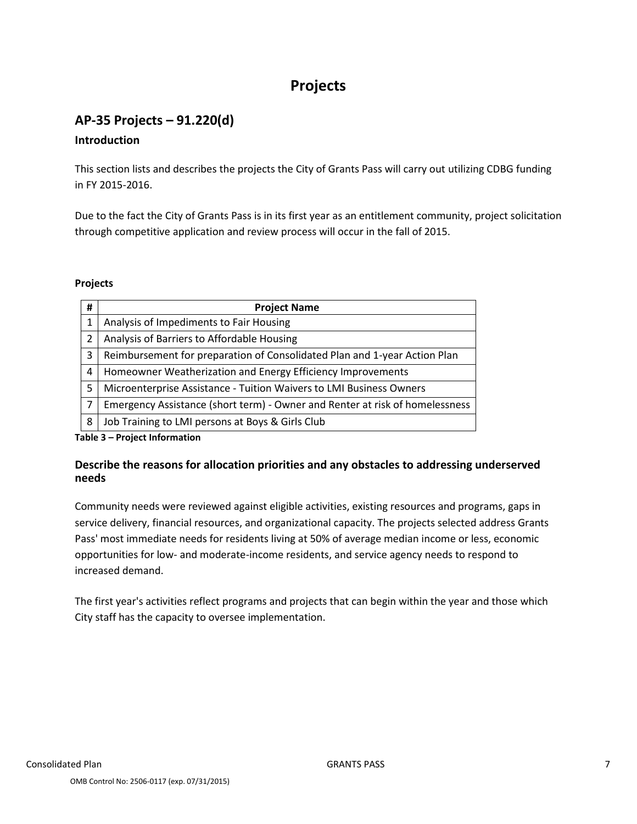## **Projects**

## **AP-35 Projects – 91.220(d)**

#### **Introduction**

This section lists and describes the projects the City of Grants Pass will carry out utilizing CDBG funding in FY 2015-2016.

Due to the fact the City of Grants Pass is in its first year as an entitlement community, project solicitation through competitive application and review process will occur in the fall of 2015.

#### **Projects**

| # | <b>Project Name</b>                                                          |
|---|------------------------------------------------------------------------------|
| 1 | Analysis of Impediments to Fair Housing                                      |
| 2 | Analysis of Barriers to Affordable Housing                                   |
| 3 | Reimbursement for preparation of Consolidated Plan and 1-year Action Plan    |
| 4 | Homeowner Weatherization and Energy Efficiency Improvements                  |
| 5 | Microenterprise Assistance - Tuition Waivers to LMI Business Owners          |
| 7 | Emergency Assistance (short term) - Owner and Renter at risk of homelessness |
| 8 | Job Training to LMI persons at Boys & Girls Club                             |

**Table 3 – Project Information**

#### **Describe the reasons for allocation priorities and any obstacles to addressing underserved needs**

Community needs were reviewed against eligible activities, existing resources and programs, gaps in service delivery, financial resources, and organizational capacity. The projects selected address Grants Pass' most immediate needs for residents living at 50% of average median income or less, economic opportunities for low- and moderate-income residents, and service agency needs to respond to increased demand.

The first year's activities reflect programs and projects that can begin within the year and those which City staff has the capacity to oversee implementation.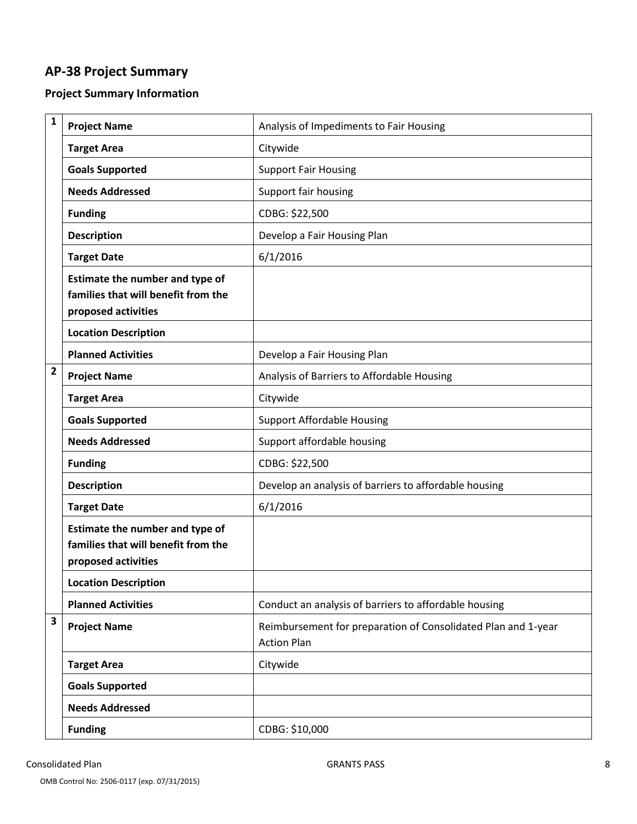## **AP-38 Project Summary**

## **Project Summary Information**

| 1                       | <b>Project Name</b>                                                                           | Analysis of Impediments to Fair Housing                                             |
|-------------------------|-----------------------------------------------------------------------------------------------|-------------------------------------------------------------------------------------|
|                         | <b>Target Area</b>                                                                            | Citywide                                                                            |
|                         | <b>Goals Supported</b>                                                                        | <b>Support Fair Housing</b>                                                         |
|                         | <b>Needs Addressed</b>                                                                        | Support fair housing                                                                |
|                         | <b>Funding</b>                                                                                | CDBG: \$22,500                                                                      |
|                         | <b>Description</b>                                                                            | Develop a Fair Housing Plan                                                         |
|                         | <b>Target Date</b>                                                                            | 6/1/2016                                                                            |
|                         | Estimate the number and type of<br>families that will benefit from the<br>proposed activities |                                                                                     |
|                         | <b>Location Description</b>                                                                   |                                                                                     |
|                         | <b>Planned Activities</b>                                                                     | Develop a Fair Housing Plan                                                         |
| $\overline{\mathbf{c}}$ | <b>Project Name</b>                                                                           | Analysis of Barriers to Affordable Housing                                          |
|                         | <b>Target Area</b>                                                                            | Citywide                                                                            |
|                         | <b>Goals Supported</b>                                                                        | <b>Support Affordable Housing</b>                                                   |
|                         | <b>Needs Addressed</b>                                                                        | Support affordable housing                                                          |
|                         | <b>Funding</b>                                                                                | CDBG: \$22,500                                                                      |
|                         | <b>Description</b>                                                                            | Develop an analysis of barriers to affordable housing                               |
|                         | <b>Target Date</b>                                                                            | 6/1/2016                                                                            |
|                         | Estimate the number and type of<br>families that will benefit from the<br>proposed activities |                                                                                     |
|                         | <b>Location Description</b>                                                                   |                                                                                     |
|                         | <b>Planned Activities</b>                                                                     | Conduct an analysis of barriers to affordable housing                               |
| 3                       | <b>Project Name</b>                                                                           | Reimbursement for preparation of Consolidated Plan and 1-year<br><b>Action Plan</b> |
|                         | <b>Target Area</b>                                                                            | Citywide                                                                            |
|                         | <b>Goals Supported</b>                                                                        |                                                                                     |
|                         | <b>Needs Addressed</b>                                                                        |                                                                                     |
|                         | <b>Funding</b>                                                                                | CDBG: \$10,000                                                                      |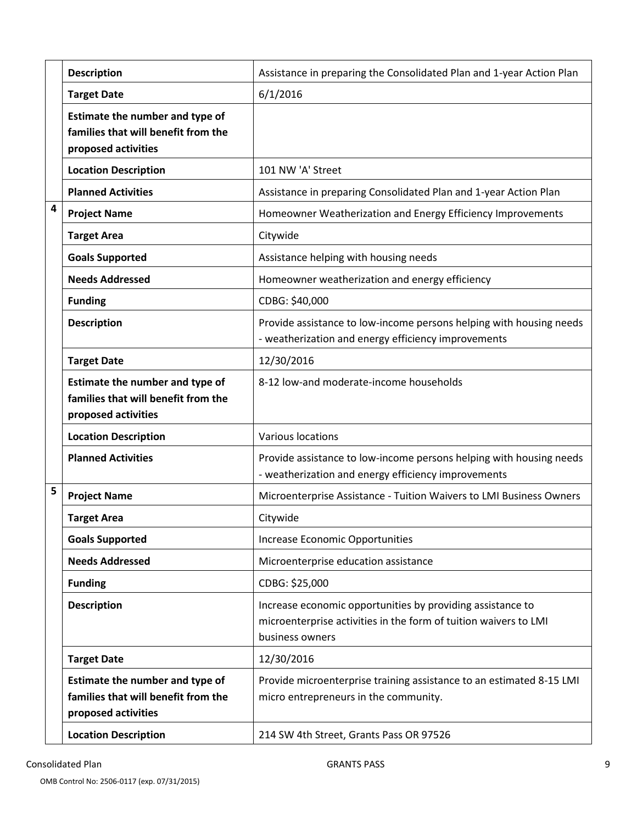|   | <b>Description</b>                                                                            | Assistance in preparing the Consolidated Plan and 1-year Action Plan                                                                              |
|---|-----------------------------------------------------------------------------------------------|---------------------------------------------------------------------------------------------------------------------------------------------------|
|   | <b>Target Date</b>                                                                            | 6/1/2016                                                                                                                                          |
|   | Estimate the number and type of<br>families that will benefit from the<br>proposed activities |                                                                                                                                                   |
|   | <b>Location Description</b>                                                                   | 101 NW 'A' Street                                                                                                                                 |
|   | <b>Planned Activities</b>                                                                     | Assistance in preparing Consolidated Plan and 1-year Action Plan                                                                                  |
| 4 | <b>Project Name</b>                                                                           | Homeowner Weatherization and Energy Efficiency Improvements                                                                                       |
|   | <b>Target Area</b>                                                                            | Citywide                                                                                                                                          |
|   | <b>Goals Supported</b>                                                                        | Assistance helping with housing needs                                                                                                             |
|   | <b>Needs Addressed</b>                                                                        | Homeowner weatherization and energy efficiency                                                                                                    |
|   | <b>Funding</b>                                                                                | CDBG: \$40,000                                                                                                                                    |
|   | <b>Description</b>                                                                            | Provide assistance to low-income persons helping with housing needs<br>- weatherization and energy efficiency improvements                        |
|   | <b>Target Date</b>                                                                            | 12/30/2016                                                                                                                                        |
|   | Estimate the number and type of<br>families that will benefit from the<br>proposed activities | 8-12 low-and moderate-income households                                                                                                           |
|   | <b>Location Description</b>                                                                   | Various locations                                                                                                                                 |
|   | <b>Planned Activities</b>                                                                     | Provide assistance to low-income persons helping with housing needs<br>- weatherization and energy efficiency improvements                        |
| 5 | <b>Project Name</b>                                                                           | Microenterprise Assistance - Tuition Waivers to LMI Business Owners                                                                               |
|   | <b>Target Area</b>                                                                            | Citywide                                                                                                                                          |
|   | <b>Goals Supported</b>                                                                        | Increase Economic Opportunities                                                                                                                   |
|   | <b>Needs Addressed</b>                                                                        | Microenterprise education assistance                                                                                                              |
|   | <b>Funding</b>                                                                                | CDBG: \$25,000                                                                                                                                    |
|   | <b>Description</b>                                                                            | Increase economic opportunities by providing assistance to<br>microenterprise activities in the form of tuition waivers to LMI<br>business owners |
|   | <b>Target Date</b>                                                                            | 12/30/2016                                                                                                                                        |
|   | Estimate the number and type of<br>families that will benefit from the<br>proposed activities | Provide microenterprise training assistance to an estimated 8-15 LMI<br>micro entrepreneurs in the community.                                     |
|   | <b>Location Description</b>                                                                   | 214 SW 4th Street, Grants Pass OR 97526                                                                                                           |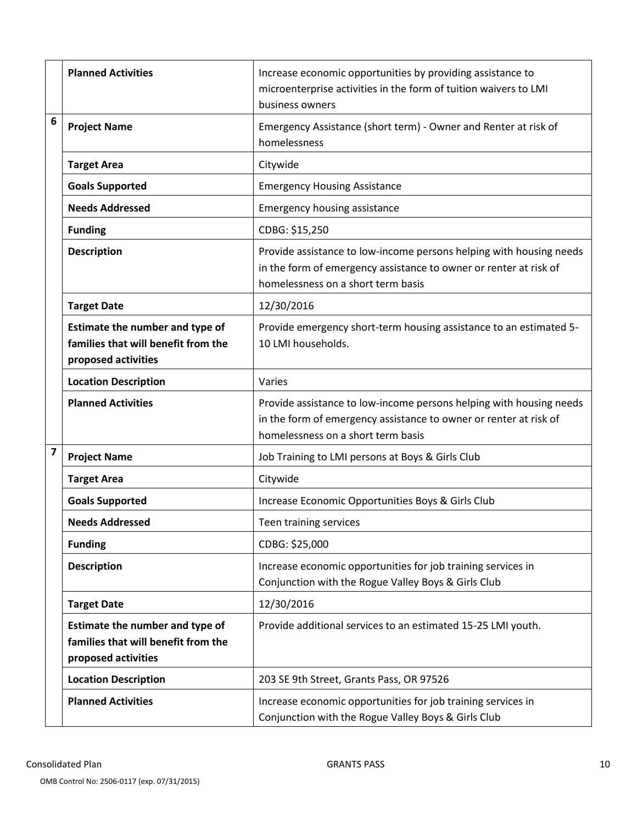|                         | <b>Planned Activities</b>                                                                     | Increase economic opportunities by providing assistance to<br>microenterprise activities in the form of tuition waivers to LMI<br>business owners                              |  |  |  |
|-------------------------|-----------------------------------------------------------------------------------------------|--------------------------------------------------------------------------------------------------------------------------------------------------------------------------------|--|--|--|
| 6                       | <b>Project Name</b>                                                                           | Emergency Assistance (short term) - Owner and Renter at risk of<br>homelessness                                                                                                |  |  |  |
|                         | <b>Target Area</b>                                                                            | Citywide                                                                                                                                                                       |  |  |  |
|                         | <b>Goals Supported</b>                                                                        | <b>Emergency Housing Assistance</b>                                                                                                                                            |  |  |  |
|                         | <b>Needs Addressed</b>                                                                        | <b>Emergency housing assistance</b>                                                                                                                                            |  |  |  |
|                         | <b>Funding</b>                                                                                | CDBG: \$15,250                                                                                                                                                                 |  |  |  |
|                         | <b>Description</b>                                                                            | Provide assistance to low-income persons helping with housing needs<br>in the form of emergency assistance to owner or renter at risk of<br>homelessness on a short term basis |  |  |  |
|                         | <b>Target Date</b>                                                                            | 12/30/2016                                                                                                                                                                     |  |  |  |
|                         | Estimate the number and type of<br>families that will benefit from the<br>proposed activities | Provide emergency short-term housing assistance to an estimated 5-<br>10 LMI households.                                                                                       |  |  |  |
|                         | <b>Location Description</b>                                                                   | Varies                                                                                                                                                                         |  |  |  |
|                         | <b>Planned Activities</b>                                                                     | Provide assistance to low-income persons helping with housing needs<br>in the form of emergency assistance to owner or renter at risk of<br>homelessness on a short term basis |  |  |  |
| $\overline{\mathbf{z}}$ | <b>Project Name</b>                                                                           | Job Training to LMI persons at Boys & Girls Club                                                                                                                               |  |  |  |
|                         | <b>Target Area</b>                                                                            | Citywide                                                                                                                                                                       |  |  |  |
|                         | <b>Goals Supported</b>                                                                        | Increase Economic Opportunities Boys & Girls Club                                                                                                                              |  |  |  |
|                         | <b>Needs Addressed</b>                                                                        | Teen training services                                                                                                                                                         |  |  |  |
|                         | <b>Funding</b>                                                                                | CDBG: \$25,000                                                                                                                                                                 |  |  |  |
|                         | <b>Description</b>                                                                            | Increase economic opportunities for job training services in<br>Conjunction with the Rogue Valley Boys & Girls Club                                                            |  |  |  |
|                         | <b>Target Date</b>                                                                            | 12/30/2016                                                                                                                                                                     |  |  |  |
|                         | Estimate the number and type of<br>families that will benefit from the<br>proposed activities | Provide additional services to an estimated 15-25 LMI youth.                                                                                                                   |  |  |  |
|                         | <b>Location Description</b>                                                                   | 203 SE 9th Street, Grants Pass, OR 97526                                                                                                                                       |  |  |  |
|                         | <b>Planned Activities</b>                                                                     | Increase economic opportunities for job training services in<br>Conjunction with the Rogue Valley Boys & Girls Club                                                            |  |  |  |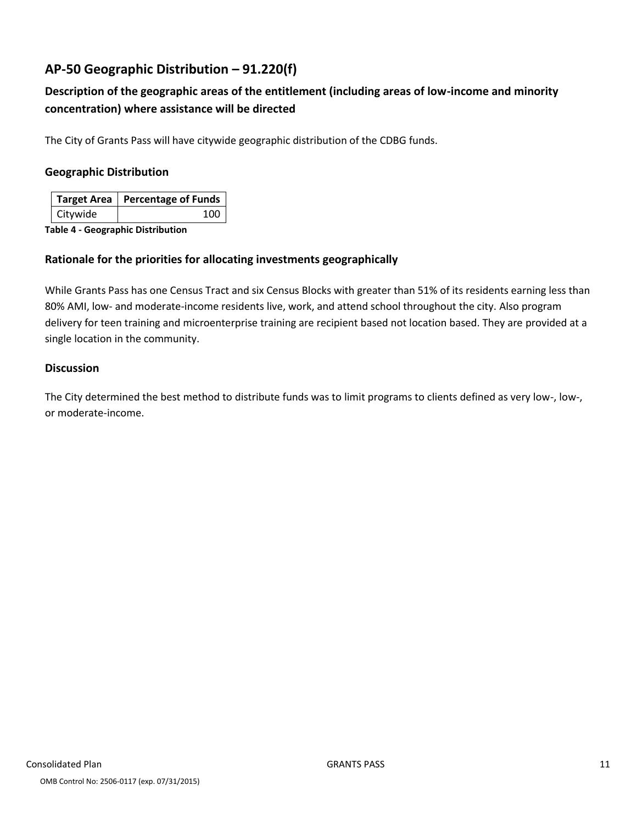## **AP-50 Geographic Distribution – 91.220(f)**

## **Description of the geographic areas of the entitlement (including areas of low-income and minority concentration) where assistance will be directed**

The City of Grants Pass will have citywide geographic distribution of the CDBG funds.

#### **Geographic Distribution**

|          | Target Area   Percentage of Funds |
|----------|-----------------------------------|
| Citywide | 100                               |

**Table 4 - Geographic Distribution** 

#### **Rationale for the priorities for allocating investments geographically**

While Grants Pass has one Census Tract and six Census Blocks with greater than 51% of its residents earning less than 80% AMI, low- and moderate-income residents live, work, and attend school throughout the city. Also program delivery for teen training and microenterprise training are recipient based not location based. They are provided at a single location in the community.

#### **Discussion**

The City determined the best method to distribute funds was to limit programs to clients defined as very low-, low-, or moderate-income.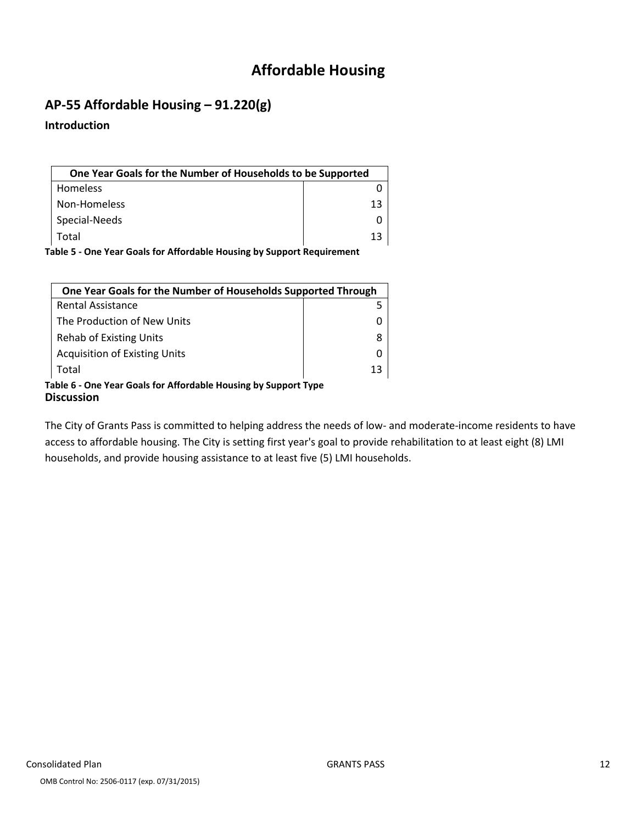## **Affordable Housing**

## **AP-55 Affordable Housing – 91.220(g)**

#### **Introduction**

| One Year Goals for the Number of Households to be Supported |    |
|-------------------------------------------------------------|----|
| <b>Homeless</b>                                             |    |
| Non-Homeless                                                | 13 |
| Special-Needs                                               |    |
| Total                                                       | 13 |

**Table 5 - One Year Goals for Affordable Housing by Support Requirement**

| One Year Goals for the Number of Households Supported Through                 |    |  |  |
|-------------------------------------------------------------------------------|----|--|--|
| <b>Rental Assistance</b>                                                      |    |  |  |
| The Production of New Units                                                   |    |  |  |
| <b>Rehab of Existing Units</b>                                                |    |  |  |
| <b>Acquisition of Existing Units</b>                                          |    |  |  |
| Total                                                                         | 13 |  |  |
| Table 6 - One Year Goals for Affordable Housing by Support Type<br>Discussion |    |  |  |

The City of Grants Pass is committed to helping address the needs of low- and moderate-income residents to have access to affordable housing. The City is setting first year's goal to provide rehabilitation to at least eight (8) LMI households, and provide housing assistance to at least five (5) LMI households.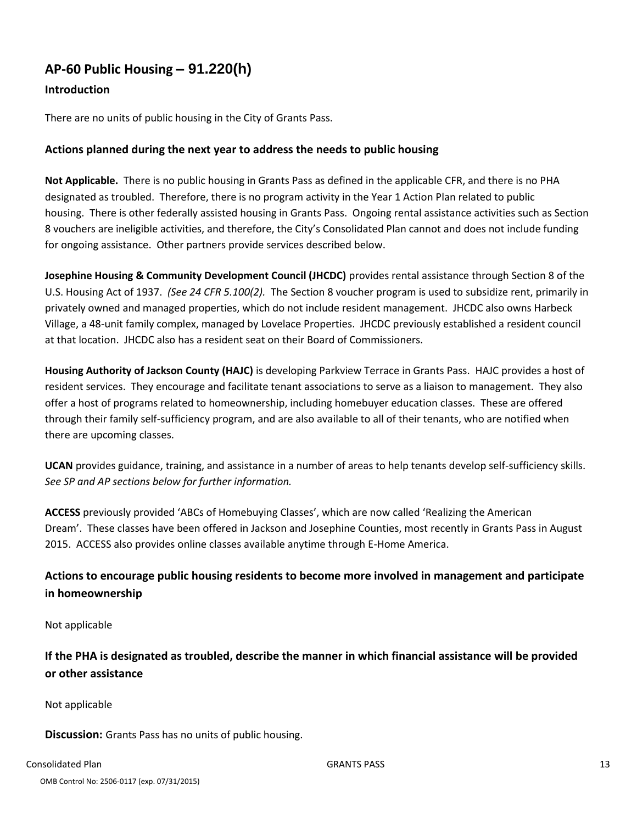## **AP-60 Public Housing** *–* **91.220(h)**

#### **Introduction**

There are no units of public housing in the City of Grants Pass.

#### **Actions planned during the next year to address the needs to public housing**

**Not Applicable.** There is no public housing in Grants Pass as defined in the applicable CFR, and there is no PHA designated as troubled. Therefore, there is no program activity in the Year 1 Action Plan related to public housing. There is other federally assisted housing in Grants Pass. Ongoing rental assistance activities such as Section 8 vouchers are ineligible activities, and therefore, the City's Consolidated Plan cannot and does not include funding for ongoing assistance. Other partners provide services described below.

**Josephine Housing & Community Development Council (JHCDC)** provides rental assistance through Section 8 of the U.S. Housing Act of 1937. *(See 24 CFR 5.100(2).* The Section 8 voucher program is used to subsidize rent, primarily in privately owned and managed properties, which do not include resident management. JHCDC also owns Harbeck Village, a 48-unit family complex, managed by Lovelace Properties. JHCDC previously established a resident council at that location. JHCDC also has a resident seat on their Board of Commissioners.

**Housing Authority of Jackson County (HAJC)** is developing Parkview Terrace in Grants Pass. HAJC provides a host of resident services. They encourage and facilitate tenant associations to serve as a liaison to management. They also offer a host of programs related to homeownership, including homebuyer education classes. These are offered through their family self-sufficiency program, and are also available to all of their tenants, who are notified when there are upcoming classes.

**UCAN** provides guidance, training, and assistance in a number of areas to help tenants develop self-sufficiency skills. *See SP and AP sections below for further information.*

**ACCESS** previously provided 'ABCs of Homebuying Classes', which are now called 'Realizing the American Dream'. These classes have been offered in Jackson and Josephine Counties, most recently in Grants Pass in August 2015. ACCESS also provides online classes available anytime through E-Home America.

### **Actions to encourage public housing residents to become more involved in management and participate in homeownership**

Not applicable

**If the PHA is designated as troubled, describe the manner in which financial assistance will be provided or other assistance**

Not applicable

**Discussion:** Grants Pass has no units of public housing.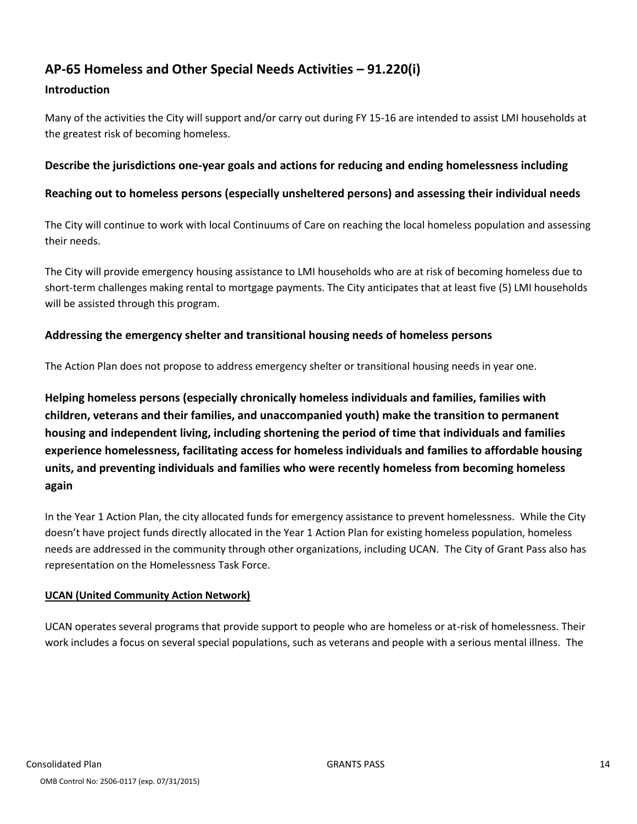## **AP-65 Homeless and Other Special Needs Activities – 91.220(i)**

#### **Introduction**

Many of the activities the City will support and/or carry out during FY 15-16 are intended to assist LMI households at the greatest risk of becoming homeless.

#### **Describe the jurisdictions one-year goals and actions for reducing and ending homelessness including**

#### **Reaching out to homeless persons (especially unsheltered persons) and assessing their individual needs**

The City will continue to work with local Continuums of Care on reaching the local homeless population and assessing their needs.

The City will provide emergency housing assistance to LMI households who are at risk of becoming homeless due to short-term challenges making rental to mortgage payments. The City anticipates that at least five (5) LMI households will be assisted through this program.

#### **Addressing the emergency shelter and transitional housing needs of homeless persons**

The Action Plan does not propose to address emergency shelter or transitional housing needs in year one.

**Helping homeless persons (especially chronically homeless individuals and families, families with children, veterans and their families, and unaccompanied youth) make the transition to permanent housing and independent living, including shortening the period of time that individuals and families experience homelessness, facilitating access for homeless individuals and families to affordable housing units, and preventing individuals and families who were recently homeless from becoming homeless again**

In the Year 1 Action Plan, the city allocated funds for emergency assistance to prevent homelessness. While the City doesn't have project funds directly allocated in the Year 1 Action Plan for existing homeless population, homeless needs are addressed in the community through other organizations, including UCAN. The City of Grant Pass also has representation on the Homelessness Task Force.

#### **UCAN (United Community Action Network)**

UCAN operates several programs that provide support to people who are homeless or at-risk of homelessness. Their work includes a focus on several special populations, such as veterans and people with a serious mental illness. The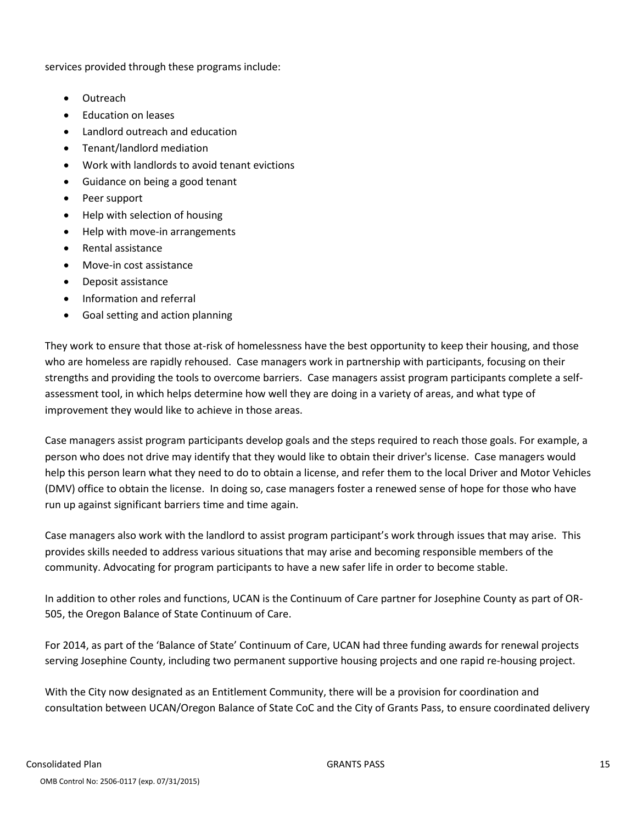services provided through these programs include:

- Outreach
- Education on leases
- Landlord outreach and education
- Tenant/landlord mediation
- Work with landlords to avoid tenant evictions
- Guidance on being a good tenant
- Peer support
- Help with selection of housing
- Help with move-in arrangements
- Rental assistance
- Move-in cost assistance
- Deposit assistance
- Information and referral
- Goal setting and action planning

They work to ensure that those at-risk of homelessness have the best opportunity to keep their housing, and those who are homeless are rapidly rehoused. Case managers work in partnership with participants, focusing on their strengths and providing the tools to overcome barriers. Case managers assist program participants complete a selfassessment tool, in which helps determine how well they are doing in a variety of areas, and what type of improvement they would like to achieve in those areas.

Case managers assist program participants develop goals and the steps required to reach those goals. For example, a person who does not drive may identify that they would like to obtain their driver's license. Case managers would help this person learn what they need to do to obtain a license, and refer them to the local Driver and Motor Vehicles (DMV) office to obtain the license. In doing so, case managers foster a renewed sense of hope for those who have run up against significant barriers time and time again.

Case managers also work with the landlord to assist program participant's work through issues that may arise. This provides skills needed to address various situations that may arise and becoming responsible members of the community. Advocating for program participants to have a new safer life in order to become stable.

In addition to other roles and functions, UCAN is the Continuum of Care partner for Josephine County as part of OR-505, the Oregon Balance of State Continuum of Care.

For 2014, as part of the 'Balance of State' Continuum of Care, UCAN had three funding awards for renewal projects serving Josephine County, including two permanent supportive housing projects and one rapid re-housing project.

With the City now designated as an Entitlement Community, there will be a provision for coordination and consultation between UCAN/Oregon Balance of State CoC and the City of Grants Pass, to ensure coordinated delivery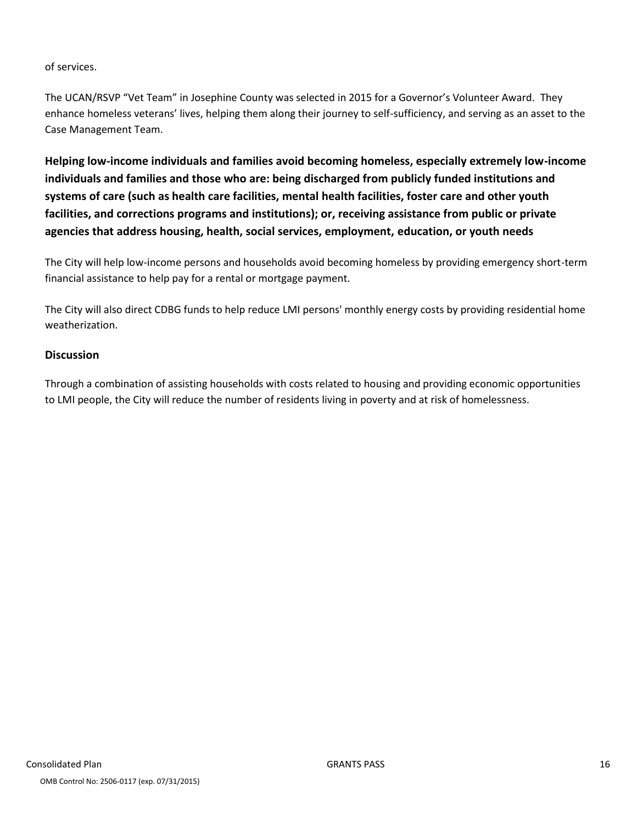#### of services.

The UCAN/RSVP "Vet Team" in Josephine County was selected in 2015 for a Governor's Volunteer Award. They enhance homeless veterans' lives, helping them along their journey to self-sufficiency, and serving as an asset to the Case Management Team.

**Helping low-income individuals and families avoid becoming homeless, especially extremely low-income individuals and families and those who are: being discharged from publicly funded institutions and systems of care (such as health care facilities, mental health facilities, foster care and other youth facilities, and corrections programs and institutions); or, receiving assistance from public or private agencies that address housing, health, social services, employment, education, or youth needs**

The City will help low-income persons and households avoid becoming homeless by providing emergency short-term financial assistance to help pay for a rental or mortgage payment.

The City will also direct CDBG funds to help reduce LMI persons' monthly energy costs by providing residential home weatherization.

#### **Discussion**

Through a combination of assisting households with costs related to housing and providing economic opportunities to LMI people, the City will reduce the number of residents living in poverty and at risk of homelessness.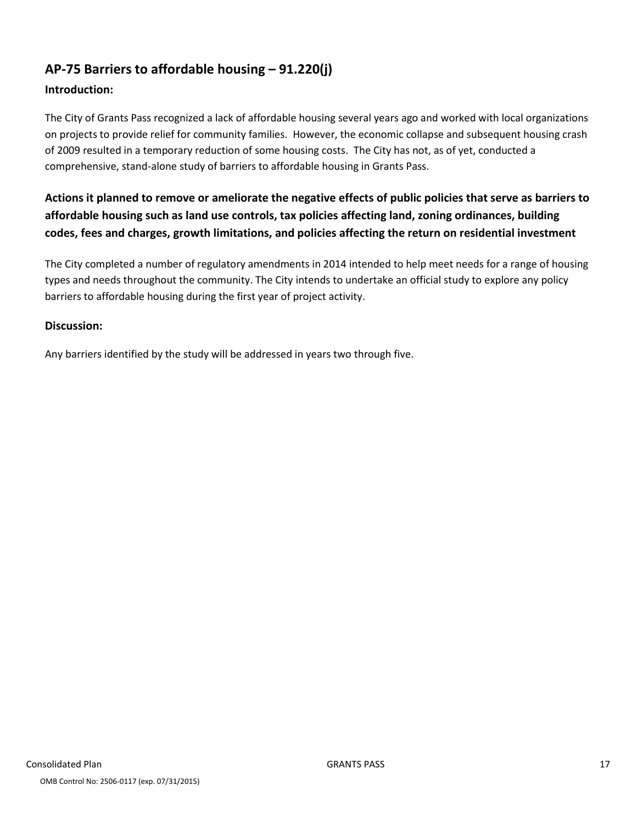## **AP-75 Barriers to affordable housing – 91.220(j)**

#### **Introduction:**

The City of Grants Pass recognized a lack of affordable housing several years ago and worked with local organizations on projects to provide relief for community families. However, the economic collapse and subsequent housing crash of 2009 resulted in a temporary reduction of some housing costs. The City has not, as of yet, conducted a comprehensive, stand-alone study of barriers to affordable housing in Grants Pass.

## **Actions it planned to remove or ameliorate the negative effects of public policies that serve as barriers to affordable housing such as land use controls, tax policies affecting land, zoning ordinances, building codes, fees and charges, growth limitations, and policies affecting the return on residential investment**

The City completed a number of regulatory amendments in 2014 intended to help meet needs for a range of housing types and needs throughout the community. The City intends to undertake an official study to explore any policy barriers to affordable housing during the first year of project activity.

#### **Discussion:**

Any barriers identified by the study will be addressed in years two through five.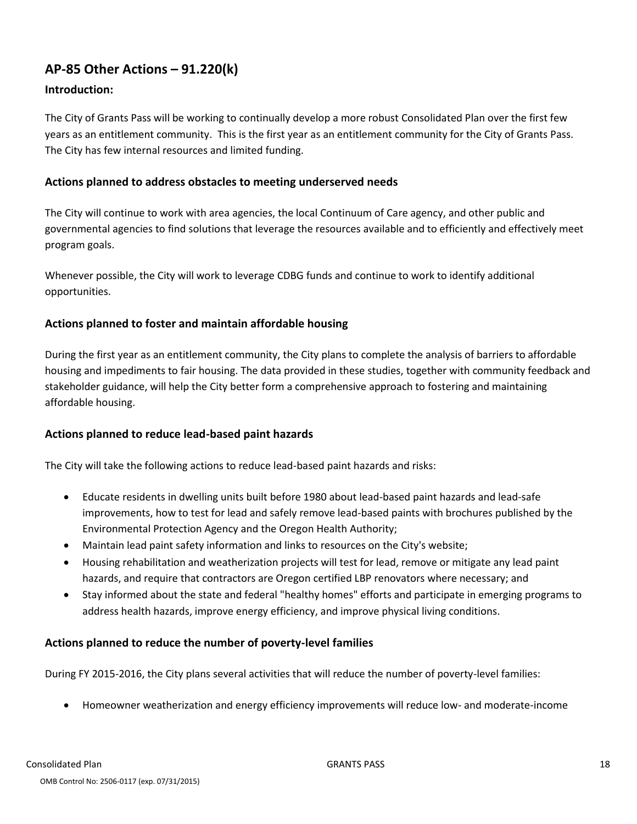## **AP-85 Other Actions – 91.220(k)**

#### **Introduction:**

The City of Grants Pass will be working to continually develop a more robust Consolidated Plan over the first few years as an entitlement community. This is the first year as an entitlement community for the City of Grants Pass. The City has few internal resources and limited funding.

#### **Actions planned to address obstacles to meeting underserved needs**

The City will continue to work with area agencies, the local Continuum of Care agency, and other public and governmental agencies to find solutions that leverage the resources available and to efficiently and effectively meet program goals.

Whenever possible, the City will work to leverage CDBG funds and continue to work to identify additional opportunities.

#### **Actions planned to foster and maintain affordable housing**

During the first year as an entitlement community, the City plans to complete the analysis of barriers to affordable housing and impediments to fair housing. The data provided in these studies, together with community feedback and stakeholder guidance, will help the City better form a comprehensive approach to fostering and maintaining affordable housing.

#### **Actions planned to reduce lead-based paint hazards**

The City will take the following actions to reduce lead-based paint hazards and risks:

- Educate residents in dwelling units built before 1980 about lead-based paint hazards and lead-safe improvements, how to test for lead and safely remove lead-based paints with brochures published by the Environmental Protection Agency and the Oregon Health Authority;
- Maintain lead paint safety information and links to resources on the City's website;
- Housing rehabilitation and weatherization projects will test for lead, remove or mitigate any lead paint hazards, and require that contractors are Oregon certified LBP renovators where necessary; and
- Stay informed about the state and federal "healthy homes" efforts and participate in emerging programs to address health hazards, improve energy efficiency, and improve physical living conditions.

#### **Actions planned to reduce the number of poverty-level families**

During FY 2015-2016, the City plans several activities that will reduce the number of poverty-level families:

Homeowner weatherization and energy efficiency improvements will reduce low- and moderate-income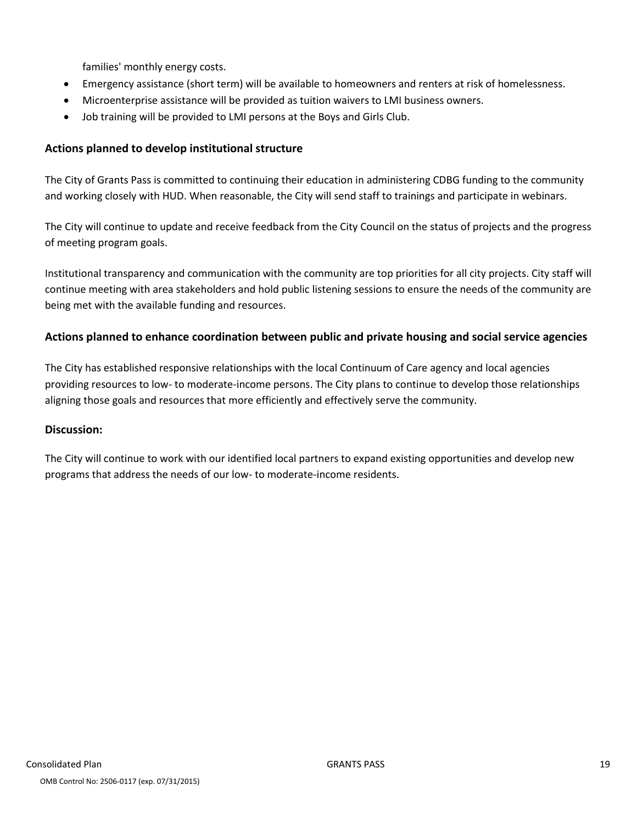families' monthly energy costs.

- Emergency assistance (short term) will be available to homeowners and renters at risk of homelessness.
- Microenterprise assistance will be provided as tuition waivers to LMI business owners.
- Job training will be provided to LMI persons at the Boys and Girls Club.

#### **Actions planned to develop institutional structure**

The City of Grants Pass is committed to continuing their education in administering CDBG funding to the community and working closely with HUD. When reasonable, the City will send staff to trainings and participate in webinars.

The City will continue to update and receive feedback from the City Council on the status of projects and the progress of meeting program goals.

Institutional transparency and communication with the community are top priorities for all city projects. City staff will continue meeting with area stakeholders and hold public listening sessions to ensure the needs of the community are being met with the available funding and resources.

#### **Actions planned to enhance coordination between public and private housing and social service agencies**

The City has established responsive relationships with the local Continuum of Care agency and local agencies providing resources to low- to moderate-income persons. The City plans to continue to develop those relationships aligning those goals and resources that more efficiently and effectively serve the community.

#### **Discussion:**

The City will continue to work with our identified local partners to expand existing opportunities and develop new programs that address the needs of our low- to moderate-income residents.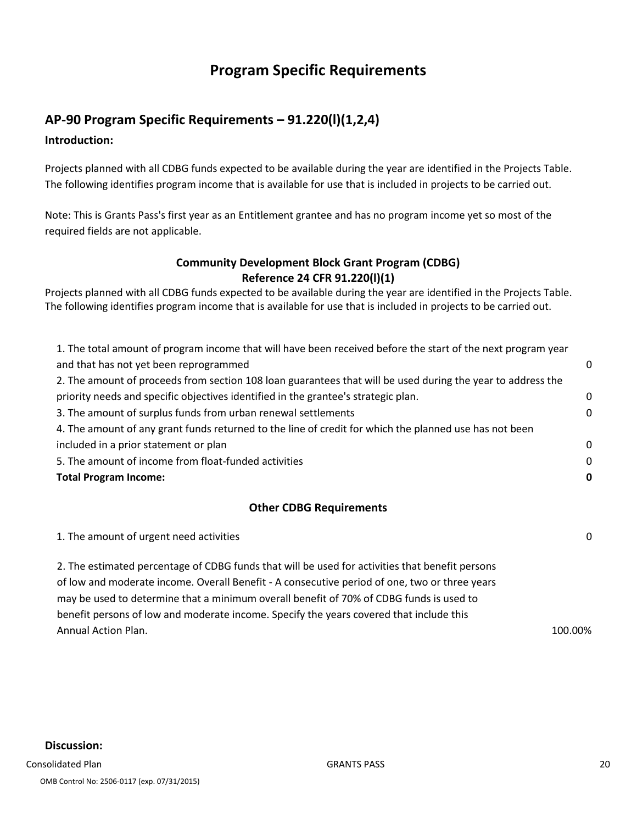## **Program Specific Requirements**

## **AP-90 Program Specific Requirements – 91.220(l)(1,2,4)**

**Introduction:** 

Projects planned with all CDBG funds expected to be available during the year are identified in the Projects Table. The following identifies program income that is available for use that is included in projects to be carried out.

Note: This is Grants Pass's first year as an Entitlement grantee and has no program income yet so most of the required fields are not applicable.

#### **Community Development Block Grant Program (CDBG) Reference 24 CFR 91.220(l)(1)**

Projects planned with all CDBG funds expected to be available during the year are identified in the Projects Table. The following identifies program income that is available for use that is included in projects to be carried out.

| 0 |
|---|
|   |
| 0 |
| 0 |
|   |
| 0 |
| 0 |
| 0 |
|   |

#### **Other CDBG Requirements**

| 2. The estimated percentage of CDBG funds that will be used for activities that benefit persons<br>of low and moderate income. Overall Benefit - A consecutive period of one, two or three years<br>may be used to determine that a minimum overall benefit of 70% of CDBG funds is used to<br>benefit persons of low and moderate income. Specify the years covered that include this<br><b>Annual Action Plan.</b> | 1. The amount of urgent need activities | $\Omega$ |
|----------------------------------------------------------------------------------------------------------------------------------------------------------------------------------------------------------------------------------------------------------------------------------------------------------------------------------------------------------------------------------------------------------------------|-----------------------------------------|----------|
|                                                                                                                                                                                                                                                                                                                                                                                                                      |                                         |          |
|                                                                                                                                                                                                                                                                                                                                                                                                                      |                                         |          |
|                                                                                                                                                                                                                                                                                                                                                                                                                      |                                         |          |
|                                                                                                                                                                                                                                                                                                                                                                                                                      |                                         |          |
|                                                                                                                                                                                                                                                                                                                                                                                                                      |                                         | 100.00%  |